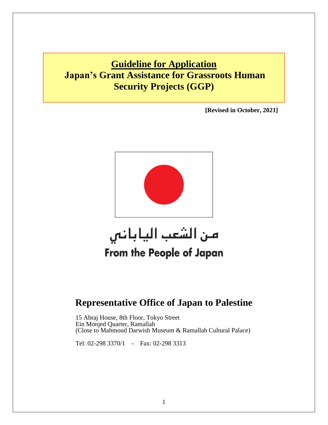# **Guideline for Application Japan's Grant Assistance for Grassroots Human Security Projects (GGP)**

**[Revised in October, 2021]** 



# من الشعب الياباني From the People of Japan

# **Representative Office of Japan to Palestine**

 15 Abraj House, 8th Floor, Tokyo Street Ein Monjed Quarter, Ramallah (Close to Mahmoud Darwish Museum & Ramallah Cultural Palace)

Tel: 02-298 3370/1 - Fax: 02-298 3313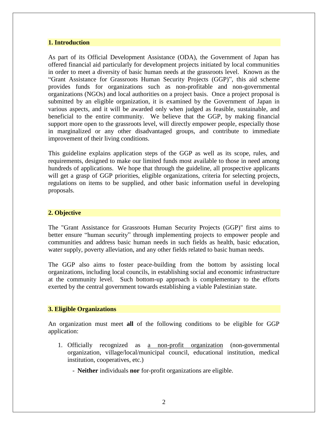#### **1. Introduction**

As part of its Official Development Assistance (ODA), the Government of Japan has offered financial aid particularly for development projects initiated by local communities in order to meet a diversity of basic human needs at the grassroots level. Known as the "Grant Assistance for Grassroots Human Security Projects (GGP)", this aid scheme provides funds for organizations such as non-profitable and non-governmental organizations (NGOs) and local authorities on a project basis. Once a project proposal is submitted by an eligible organization, it is examined by the Government of Japan in various aspects, and it will be awarded only when judged as feasible, sustainable, and beneficial to the entire community. We believe that the GGP, by making financial support more open to the grassroots level, will directly empower people, especially those in marginalized or any other disadvantaged groups, and contribute to immediate improvement of their living conditions.

This guideline explains application steps of the GGP as well as its scope, rules, and requirements, designed to make our limited funds most available to those in need among hundreds of applications. We hope that through the guideline, all prospective applicants will get a grasp of GGP priorities, eligible organizations, criteria for selecting projects, regulations on items to be supplied, and other basic information useful in developing proposals.

#### **2. Objective**

The "Grant Assistance for Grassroots Human Security Projects (GGP)" first aims to better ensure "human security" through implementing projects to empower people and communities and address basic human needs in such fields as health, basic education, water supply, poverty alleviation, and any other fields related to basic human needs.

The GGP also aims to foster peace-building from the bottom by assisting local organizations, including local councils, in establishing social and economic infrastructure at the community level. Such bottom-up approach is complementary to the efforts exerted by the central government towards establishing a viable Palestinian state.

#### **3. Eligible Organizations**

An organization must meet **all** of the following conditions to be eligible for GGP application:

- 1. Officially recognized as a non-profit organization (non-governmental organization, village/local/municipal council, educational institution, medical institution, cooperatives, etc.)
	- **Neither** individuals **nor** for-profit organizations are eligible.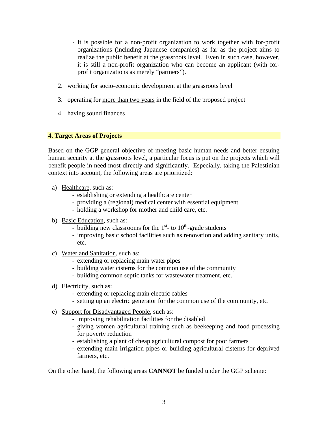- It is possible for a non-profit organization to work together with for-profit organizations (including Japanese companies) as far as the project aims to realize the public benefit at the grassroots level. Even in such case, however, it is still a non-profit organization who can become an applicant (with forprofit organizations as merely "partners").
- 2. working for socio-economic development at the grassroots level
- 3. operating for more than two years in the field of the proposed project
- 4. having sound finances

#### **4. Target Areas of Projects**

Based on the GGP general objective of meeting basic human needs and better ensuing human security at the grassroots level, a particular focus is put on the projects which will benefit people in need most directly and significantly. Especially, taking the Palestinian context into account, the following areas are prioritized:

- a) Healthcare, such as:
	- establishing or extending a healthcare center
	- providing a (regional) medical center with essential equipment
	- holding a workshop for mother and child care, etc.
- b) Basic Education, such as:
	- building new classrooms for the  $1<sup>st</sup>$  to  $10<sup>th</sup>$ -grade students
	- improving basic school facilities such as renovation and adding sanitary units, etc.
- c) Water and Sanitation, such as:
	- extending or replacing main water pipes
	- building water cisterns for the common use of the community
	- building common septic tanks for wastewater treatment, etc.
- d) Electricity, such as:
	- extending or replacing main electric cables
	- setting up an electric generator for the common use of the community, etc.
- e) Support for Disadvantaged People, such as:
	- improving rehabilitation facilities for the disabled
	- giving women agricultural training such as beekeeping and food processing for poverty reduction
	- establishing a plant of cheap agricultural compost for poor farmers
	- extending main irrigation pipes or building agricultural cisterns for deprived farmers, etc.

On the other hand, the following areas **CANNOT** be funded under the GGP scheme: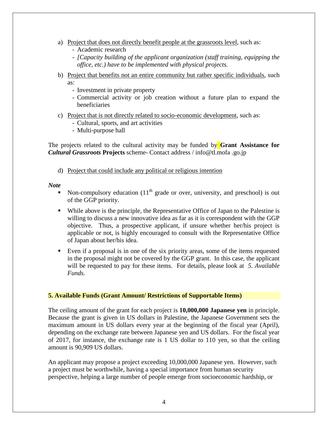- a) Project that does not directly benefit people at the grassroots level, such as:
	- Academic research
	- *[Capacity building of the applicant organization (staff training, equipping the office, etc.) have to be implemented with physical projects.*
- b) Project that benefits not an entire community but rather specific individuals, such as:
	- Investment in private property
	- Commercial activity or job creation without a future plan to expand the beneficiaries
- c) Project that is not directly related to socio-economic development, such as:
	- Cultural, sports, and art activities
	- Multi-purpose hall

The projects related to the cultural activity may be funded by **Grant Assistance for**  *Cultural Grassroots* **Projects** scheme- Contact address / info@tl.mofa .go.jp

d) Project that could include any political or religious intention

*Note*

- Non-compulsory education  $(11<sup>th</sup>$  grade or over, university, and preschool) is out of the GGP priority.
- While above is the principle, the Representative Office of Japan to the Palestine is willing to discuss a new innovative idea as far as it is correspondent with the GGP objective. Thus, a prospective applicant, if unsure whether her/his project is applicable or not, is highly encouraged to consult with the Representative Office of Japan about her/his idea.
- Even if a proposal is in one of the six priority areas, some of the items requested in the proposal might not be covered by the GGP grant. In this case, the applicant will be requested to pay for these items. For details, please look at *5. Available Funds*.

#### **5. Available Funds (Grant Amount/ Restrictions of Supportable Items)**

The ceiling amount of the grant for each project is **10,000,000 Japanese yen** in principle. Because the grant is given in US dollars in Palestine, the Japanese Government sets the maximum amount in US dollars every year at the beginning of the fiscal year (April), depending on the exchange rate between Japanese yen and US dollars. For the fiscal year of 2017, for instance, the exchange rate is 1 US dollar to 110 yen, so that the ceiling amount is 90,909 US dollars.

An applicant may propose a project exceeding 10,000,000 Japanese yen. However, such a project must be worthwhile, having a special importance from human security perspective, helping a large number of people emerge from socioeconomic hardship, or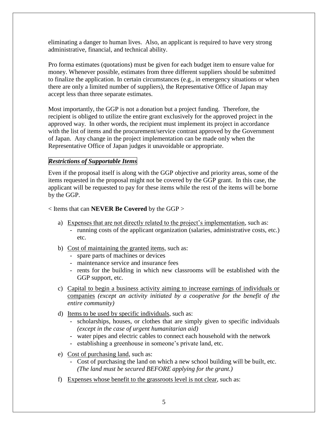eliminating a danger to human lives. Also, an applicant is required to have very strong administrative, financial, and technical ability.

Pro forma estimates (quotations) must be given for each budget item to ensure value for money. Whenever possible, estimates from three different suppliers should be submitted to finalize the application. In certain circumstances (e.g., in emergency situations or when there are only a limited number of suppliers), the Representative Office of Japan may accept less than three separate estimates.

Most importantly, the GGP is not a donation but a project funding. Therefore, the recipient is obliged to utilize the entire grant exclusively for the approved project in the approved way. In other words, the recipient must implement its project in accordance with the list of items and the procurement/service contrast approved by the Government of Japan. Any change in the project implementation can be made only when the Representative Office of Japan judges it unavoidable or appropriate.

# *Restrictions of Supportable Items*

Even if the proposal itself is along with the GGP objective and priority areas, some of the items requested in the proposal might not be covered by the GGP grant. In this case, the applicant will be requested to pay for these items while the rest of the items will be borne by the GGP.

< Items that can **NEVER Be Covered** by the GGP >

- a) Expenses that are not directly related to the project's implementation, such as:
	- running costs of the applicant organization (salaries, administrative costs, etc.) etc.
- b) Cost of maintaining the granted items, such as:
	- spare parts of machines or devices
	- maintenance service and insurance fees
	- rents for the building in which new classrooms will be established with the GGP support, etc.
- c) Capital to begin a business activity aiming to increase earnings of individuals or companies *(except an activity initiated by a cooperative for the benefit of the entire community)*
- d) Items to be used by specific individuals, such as:
	- scholarships, houses, or clothes that are simply given to specific individuals *(except in the case of urgent humanitarian aid)*
	- water pipes and electric cables to connect each household with the network
	- establishing a greenhouse in someone's private land, etc.
- e) Cost of purchasing land, such as:
	- Cost of purchasing the land on which a new school building will be built, etc. *(The land must be secured BEFORE applying for the grant.)*
- f) Expenses whose benefit to the grassroots level is not clear, such as: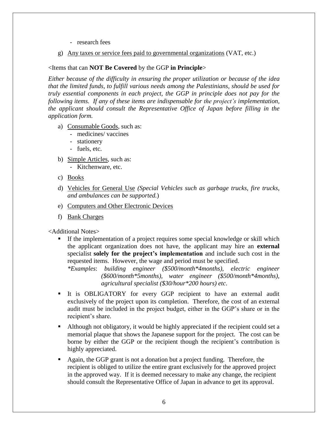- research fees
- g) Any taxes or service fees paid to governmental organizations (VAT, etc.)

#### <Items that can **NOT Be Covered** by the GGP **in Principle**>

*Either because of the difficulty in ensuring the proper utilization or because of the idea that the limited funds, to fulfill various needs among the Palestinians, should be used for truly essential components in each project, the GGP in principle does not pay for the following items. If any of these items are indispensable for the project's implementation, the applicant should consult the Representative Office of Japan before filling in the application form.* 

- a) Consumable Goods, such as:
	- medicines/ vaccines
	- stationery
	- fuels, etc.
- b) Simple Articles, such as:
	- Kitchenware, etc.
- c) Books
- d) Vehicles for General Use *(Special Vehicles such as garbage trucks, fire trucks, and ambulances can be supported.*)
- e) Computers and Other Electronic Devices
- f) Bank Charges

<Additional Notes>

 If the implementation of a project requires some special knowledge or skill which the applicant organization does not have, the applicant may hire an **external** specialist **solely for the project's implementation** and include such cost in the requested items. However, the wage and period must be specified.

*\*Examples*: *building engineer (\$500/month\*4months), electric engineer (\$600/month\*5months), water engineer (\$500/month\*4months), agricultural specialist (\$30/hour\*200 hours) etc*.

- It is OBLIGATORY for every GGP recipient to have an external audit exclusively of the project upon its completion. Therefore, the cost of an external audit must be included in the project budget, either in the GGP's share or in the recipient's share.
- Although not obligatory, it would be highly appreciated if the recipient could set a memorial plaque that shows the Japanese support for the project. The cost can be borne by either the GGP or the recipient though the recipient's contribution is highly appreciated.
- Again, the GGP grant is not a donation but a project funding. Therefore, the recipient is obliged to utilize the entire grant exclusively for the approved project in the approved way. If it is deemed necessary to make any change, the recipient should consult the Representative Office of Japan in advance to get its approval.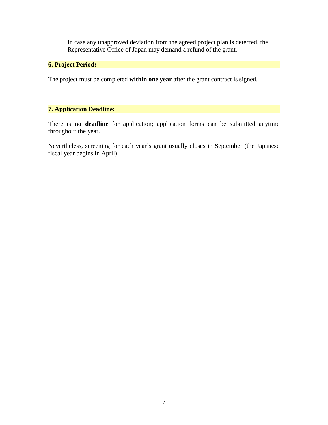In case any unapproved deviation from the agreed project plan is detected, the Representative Office of Japan may demand a refund of the grant.

# **6. Project Period:**

The project must be completed **within one year** after the grant contract is signed.

# **7. Application Deadline:**

There is **no deadline** for application; application forms can be submitted anytime throughout the year.

Nevertheless, screening for each year's grant usually closes in September (the Japanese fiscal year begins in April).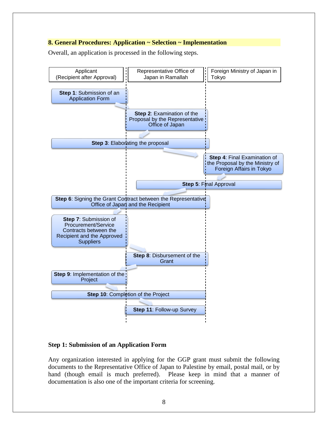#### **8. General Procedures: Application ~ Selection ~ Implementation**

Overall, an application is processed in the following steps.



#### **Step 1: Submission of an Application Form**

Any organization interested in applying for the GGP grant must submit the following documents to the Representative Office of Japan to Palestine by email, postal mail, or by hand (though email is much preferred). Please keep in mind that a manner of documentation is also one of the important criteria for screening.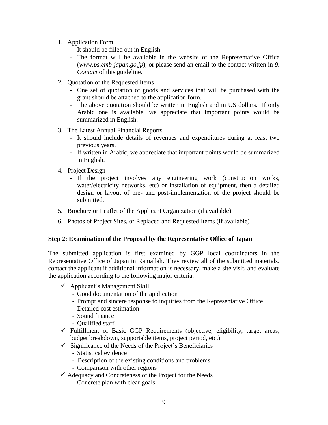- 1. Application Form
	- It should be filled out in English.
	- The format will be available in the website of the Representative Office (*[www.ps.emb-japan.go.jp](http://www.ps.emb-japan.go.jp/)*), or please send an email to the contact written in *9. Contact* of this guideline.
- 2. Quotation of the Requested Items
	- One set of quotation of goods and services that will be purchased with the grant should be attached to the application form.
	- The above quotation should be written in English and in US dollars. If only Arabic one is available, we appreciate that important points would be summarized in English.
- 3. The Latest Annual Financial Reports
	- It should include details of revenues and expenditures during at least two previous years.
	- If written in Arabic, we appreciate that important points would be summarized in English.
- 4. Project Design
	- If the project involves any engineering work (construction works, water/electricity networks, etc) or installation of equipment, then a detailed design or layout of pre- and post-implementation of the project should be submitted.
- 5. Brochure or Leaflet of the Applicant Organization (if available)
- 6. Photos of Project Sites, or Replaced and Requested Items (if available)

#### **Step 2: Examination of the Proposal by the Representative Office of Japan**

The submitted application is first examined by GGP local coordinators in the Representative Office of Japan in Ramallah. They review all of the submitted materials, contact the applicant if additional information is necessary, make a site visit, and evaluate the application according to the following major criteria:

- $\checkmark$  Applicant's Management Skill
	- Good documentation of the application
	- Prompt and sincere response to inquiries from the Representative Office
	- Detailed cost estimation
	- Sound finance
	- Qualified staff
- $\checkmark$  Fulfillment of Basic GGP Requirements (objective, eligibility, target areas, budget breakdown, supportable items, project period, etc.)
- $\checkmark$  Significance of the Needs of the Project's Beneficiaries
	- Statistical evidence
	- Description of the existing conditions and problems
	- Comparison with other regions
- $\checkmark$  Adequacy and Concreteness of the Project for the Needs
	- Concrete plan with clear goals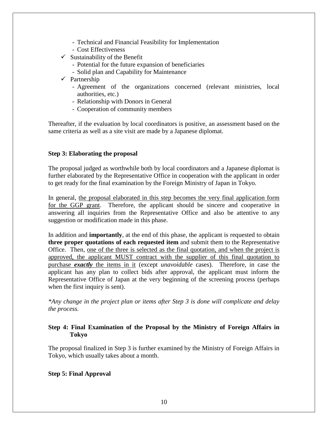- Technical and Financial Feasibility for Implementation
- Cost Effectiveness
- $\checkmark$  Sustainability of the Benefit
	- Potential for the future expansion of beneficiaries
	- Solid plan and Capability for Maintenance
- $\checkmark$  Partnership
	- Agreement of the organizations concerned (relevant ministries, local authorities, etc.)
	- Relationship with Donors in General
	- Cooperation of community members

Thereafter, if the evaluation by local coordinators is positive, an assessment based on the same criteria as well as a site visit are made by a Japanese diplomat.

#### **Step 3: Elaborating the proposal**

The proposal judged as worthwhile both by local coordinators and a Japanese diplomat is further elaborated by the Representative Office in cooperation with the applicant in order to get ready for the final examination by the Foreign Ministry of Japan in Tokyo.

In general, the proposal elaborated in this step becomes the very final application form for the GGP grant. Therefore, the applicant should be sincere and cooperative in answering all inquiries from the Representative Office and also be attentive to any suggestion or modification made in this phase.

In addition and **importantly**, at the end of this phase, the applicant is requested to obtain **three proper quotations of each requested item** and submit them to the Representative Office. Then, one of the three is selected as the final quotation, and when the project is approved, the applicant MUST contract with the supplier of this final quotation to purchase *exactly* the items in it (except *unavoidable* cases). Therefore, in case the applicant has any plan to collect bids after approval, the applicant must inform the Representative Office of Japan at the very beginning of the screening process (perhaps when the first inquiry is sent).

*\*Any change in the project plan or items after Step 3 is done will complicate and delay the process.* 

#### **Step 4: Final Examination of the Proposal by the Ministry of Foreign Affairs in Tokyo**

The proposal finalized in Step 3 is further examined by the Ministry of Foreign Affairs in Tokyo, which usually takes about a month.

#### **Step 5: Final Approval**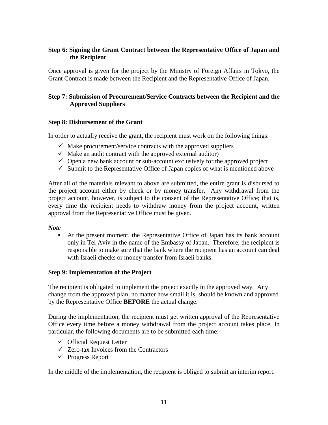## **Step 6: Signing the Grant Contract between the Representative Office of Japan and the Recipient**

Once approval is given for the project by the Ministry of Foreign Affairs in Tokyo, the Grant Contract is made between the Recipient and the Representative Office of Japan.

# **Step 7: Submission of Procurement/Service Contracts between the Recipient and the Approved Suppliers**

#### **Step 8: Disbursement of the Grant**

In order to actually receive the grant, the recipient must work on the following things:

- $\checkmark$  Make procurement/service contracts with the approved suppliers
- $\checkmark$  Make an audit contract with the approved external auditor)
- $\checkmark$  Open a new bank account or sub-account exclusively for the approved project
- $\checkmark$  Submit to the Representative Office of Japan copies of what is mentioned above

After all of the materials relevant to above are submitted, the entire grant is disbursed to the project account either by check or by money transfer. Any withdrawal from the project account, however, is subject to the consent of the Representative Office; that is, every time the recipient needs to withdraw money from the project account, written approval from the Representative Office must be given.

#### *Note*

 At the present moment, the Representative Office of Japan has its bank account only in Tel Aviv in the name of the Embassy of Japan. Therefore, the recipient is responsible to make sure that the bank where the recipient has an account can deal with Israeli checks or money transfer from Israeli banks.

#### **Step 9: Implementation of the Project**

The recipient is obligated to implement the project exactly in the approved way. Any change from the approved plan, no matter how small it is, should be known and approved by the Representative Office **BEFORE** the actual change.

During the implementation, the recipient must get written approval of the Representative Office every time before a money withdrawal from the project account takes place. In particular, the following documents are to be submitted each time:

- $\checkmark$  Official Request Letter
- $\checkmark$  Zero-tax Invoices from the Contractors
- $\checkmark$  Progress Report

In the middle of the implementation, the recipient is obliged to submit an interim report*.*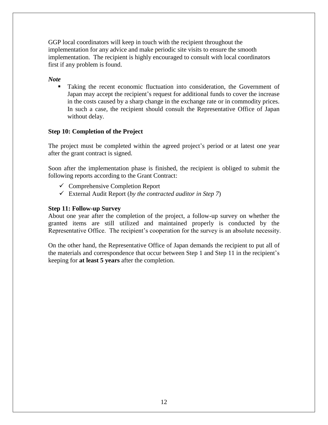GGP local coordinators will keep in touch with the recipient throughout the implementation for any advice and make periodic site visits to ensure the smooth implementation. The recipient is highly encouraged to consult with local coordinators first if any problem is found.

#### *Note*

 Taking the recent economic fluctuation into consideration, the Government of Japan may accept the recipient's request for additional funds to cover the increase in the costs caused by a sharp change in the exchange rate or in commodity prices. In such a case, the recipient should consult the Representative Office of Japan without delay.

## **Step 10: Completion of the Project**

The project must be completed within the agreed project's period or at latest one year after the grant contract is signed.

Soon after the implementation phase is finished, the recipient is obliged to submit the following reports according to the Grant Contract:

- $\checkmark$  Comprehensive Completion Report
- External Audit Report (*by the contracted auditor in Step 7*)

## **Step 11: Follow-up Survey**

About one year after the completion of the project, a follow-up survey on whether the granted items are still utilized and maintained properly is conducted by the Representative Office. The recipient's cooperation for the survey is an absolute necessity.

On the other hand, the Representative Office of Japan demands the recipient to put all of the materials and correspondence that occur between Step 1 and Step 11 in the recipient's keeping for **at least 5 years** after the completion.